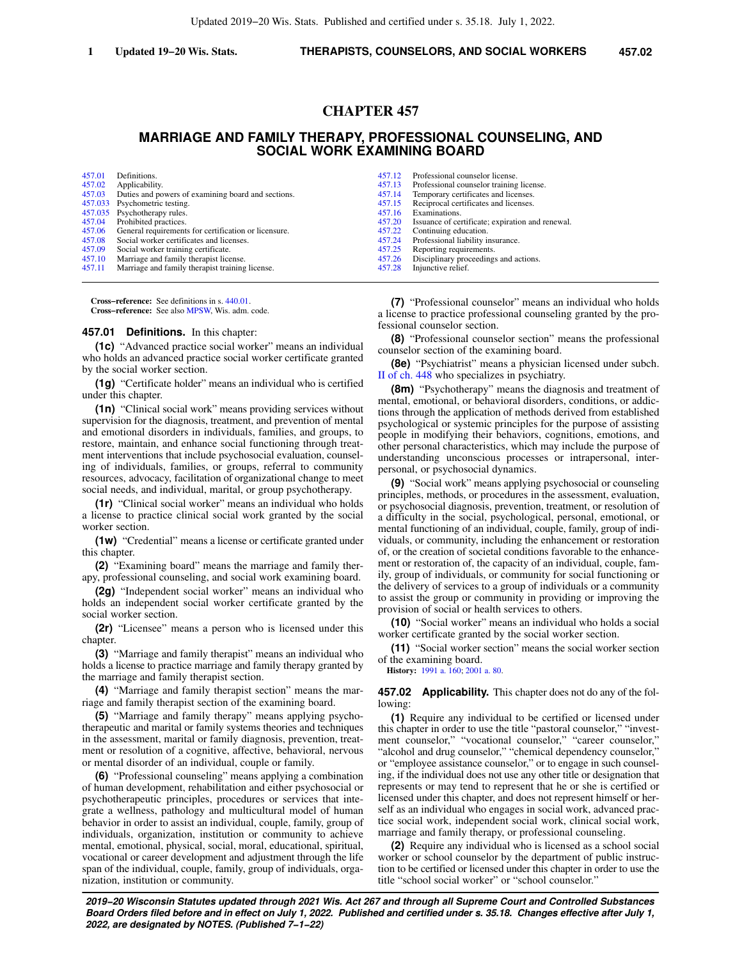# **CHAPTER 457**

# **MARRIAGE AND FAMILY THERAPY, PROFESSIONAL COUNSELING, AND SOCIAL WORK EXAMINING BOARD**

| 457.01 | Definitions.                                         | 457.12 | Professional counselor license.                  |
|--------|------------------------------------------------------|--------|--------------------------------------------------|
| 457.02 | Applicability.                                       | 457.13 | Professional counselor training license.         |
| 457.03 | Duties and powers of examining board and sections.   | 457.14 | Temporary certificates and licenses.             |
|        | 457.033 Psychometric testing.                        | 457.15 | Reciprocal certificates and licenses.            |
|        | 457.035 Psychotherapy rules.                         | 457.16 | Examinations.                                    |
| 457.04 | Prohibited practices.                                | 457.20 | Issuance of certificate; expiration and renewal. |
| 457.06 | General requirements for certification or licensure. | 457.22 | Continuing education.                            |
| 457.08 | Social worker certificates and licenses.             | 457.24 | Professional liability insurance.                |
| 457.09 | Social worker training certificate.                  | 457.25 | Reporting requirements.                          |
| 457.10 | Marriage and family therapist license.               | 457.26 | Disciplinary proceedings and actions.            |
| 457.11 | Marriage and family therapist training license.      | 457.28 | Injunctive relief.                               |
|        |                                                      |        |                                                  |

**Cross−reference:** See definitions in s. [440.01](https://docs.legis.wisconsin.gov/document/statutes/440.01). **Cross−reference:** See also [MPSW,](https://docs.legis.wisconsin.gov/document/administrativecode/MPSW) Wis. adm. code.

#### **457.01 Definitions.** In this chapter:

**(1c)** "Advanced practice social worker" means an individual who holds an advanced practice social worker certificate granted by the social worker section.

**(1g)** "Certificate holder" means an individual who is certified under this chapter.

**(1n)** "Clinical social work" means providing services without supervision for the diagnosis, treatment, and prevention of mental and emotional disorders in individuals, families, and groups, to restore, maintain, and enhance social functioning through treatment interventions that include psychosocial evaluation, counseling of individuals, families, or groups, referral to community resources, advocacy, facilitation of organizational change to meet social needs, and individual, marital, or group psychotherapy.

**(1r)** "Clinical social worker" means an individual who holds a license to practice clinical social work granted by the social worker section.

**(1w)** "Credential" means a license or certificate granted under this chapter.

**(2)** "Examining board" means the marriage and family therapy, professional counseling, and social work examining board.

**(2g)** "Independent social worker" means an individual who holds an independent social worker certificate granted by the social worker section.

**(2r)** "Licensee" means a person who is licensed under this chapter.

**(3)** "Marriage and family therapist" means an individual who holds a license to practice marriage and family therapy granted by the marriage and family therapist section.

**(4)** "Marriage and family therapist section" means the marriage and family therapist section of the examining board.

**(5)** "Marriage and family therapy" means applying psychotherapeutic and marital or family systems theories and techniques in the assessment, marital or family diagnosis, prevention, treatment or resolution of a cognitive, affective, behavioral, nervous or mental disorder of an individual, couple or family.

**(6)** "Professional counseling" means applying a combination of human development, rehabilitation and either psychosocial or psychotherapeutic principles, procedures or services that integrate a wellness, pathology and multicultural model of human behavior in order to assist an individual, couple, family, group of individuals, organization, institution or community to achieve mental, emotional, physical, social, moral, educational, spiritual, vocational or career development and adjustment through the life span of the individual, couple, family, group of individuals, organization, institution or community.

**(7)** "Professional counselor" means an individual who holds a license to practice professional counseling granted by the professional counselor section.

**(8)** "Professional counselor section" means the professional counselor section of the examining board.

**(8e)** "Psychiatrist" means a physician licensed under subch. [II of ch. 448](https://docs.legis.wisconsin.gov/document/statutes/subch.%20II%20of%20ch.%20448) who specializes in psychiatry.

**(8m)** "Psychotherapy" means the diagnosis and treatment of mental, emotional, or behavioral disorders, conditions, or addictions through the application of methods derived from established psychological or systemic principles for the purpose of assisting people in modifying their behaviors, cognitions, emotions, and other personal characteristics, which may include the purpose of understanding unconscious processes or intrapersonal, interpersonal, or psychosocial dynamics.

**(9)** "Social work" means applying psychosocial or counseling principles, methods, or procedures in the assessment, evaluation, or psychosocial diagnosis, prevention, treatment, or resolution of a difficulty in the social, psychological, personal, emotional, or mental functioning of an individual, couple, family, group of individuals, or community, including the enhancement or restoration of, or the creation of societal conditions favorable to the enhancement or restoration of, the capacity of an individual, couple, family, group of individuals, or community for social functioning or the delivery of services to a group of individuals or a community to assist the group or community in providing or improving the provision of social or health services to others.

**(10)** "Social worker" means an individual who holds a social worker certificate granted by the social worker section.

**(11)** "Social worker section" means the social worker section of the examining board.

**History:** [1991 a. 160;](https://docs.legis.wisconsin.gov/document/acts/1991/160) [2001 a. 80.](https://docs.legis.wisconsin.gov/document/acts/2001/80)

**457.02 Applicability.** This chapter does not do any of the following:

**(1)** Require any individual to be certified or licensed under this chapter in order to use the title "pastoral counselor," "investment counselor," "vocational counselor," "career counselor," "alcohol and drug counselor," "chemical dependency counselor," or "employee assistance counselor," or to engage in such counseling, if the individual does not use any other title or designation that represents or may tend to represent that he or she is certified or licensed under this chapter, and does not represent himself or herself as an individual who engages in social work, advanced practice social work, independent social work, clinical social work, marriage and family therapy, or professional counseling.

**(2)** Require any individual who is licensed as a school social worker or school counselor by the department of public instruction to be certified or licensed under this chapter in order to use the title "school social worker" or "school counselor."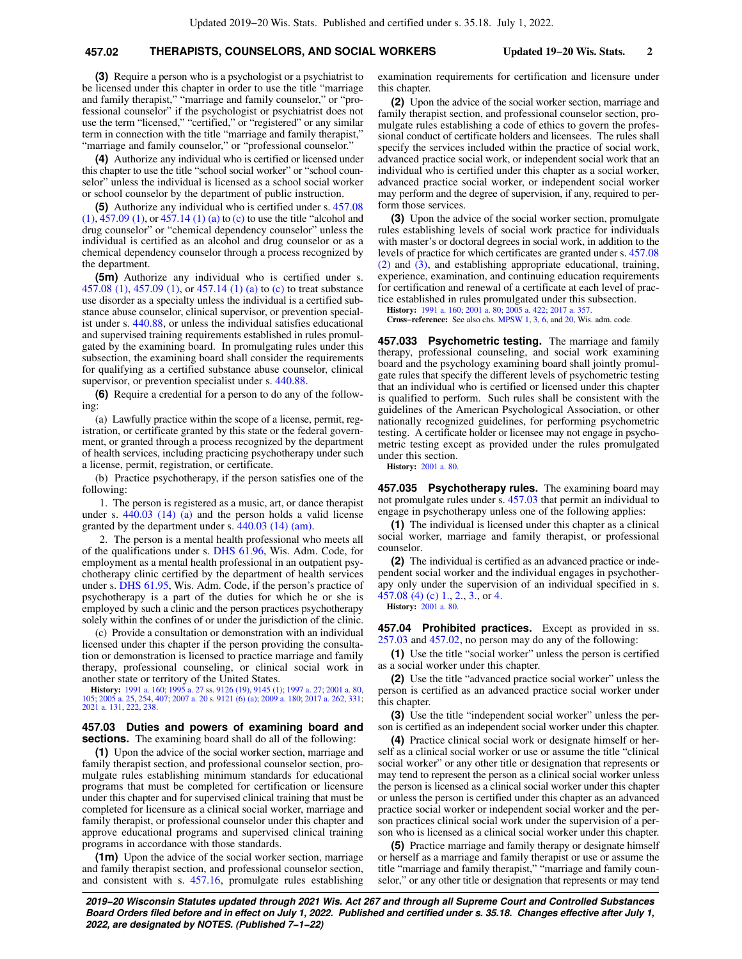### **457.02 THERAPISTS, COUNSELORS, AND SOCIAL WORKERS Updated 19−20 Wis. Stats. 2**

**(3)** Require a person who is a psychologist or a psychiatrist to be licensed under this chapter in order to use the title "marriage and family therapist," "marriage and family counselor," or "professional counselor" if the psychologist or psychiatrist does not use the term "licensed," "certified," or "registered" or any similar term in connection with the title "marriage and family therapist," "marriage and family counselor," or "professional counselor."

**(4)** Authorize any individual who is certified or licensed under this chapter to use the title "school social worker" or "school counselor" unless the individual is licensed as a school social worker or school counselor by the department of public instruction.

**(5)** Authorize any individual who is certified under s. [457.08](https://docs.legis.wisconsin.gov/document/statutes/457.08(1)) [\(1\)](https://docs.legis.wisconsin.gov/document/statutes/457.08(1)), [457.09 \(1\)](https://docs.legis.wisconsin.gov/document/statutes/457.09(1)), or [457.14 \(1\) \(a\)](https://docs.legis.wisconsin.gov/document/statutes/457.14(1)(a)) to [\(c\)](https://docs.legis.wisconsin.gov/document/statutes/457.14(1)(c)) to use the title "alcohol and drug counselor" or "chemical dependency counselor" unless the individual is certified as an alcohol and drug counselor or as a chemical dependency counselor through a process recognized by the department.

**(5m)** Authorize any individual who is certified under s. [457.08 \(1\),](https://docs.legis.wisconsin.gov/document/statutes/457.08(1)) [457.09 \(1\)](https://docs.legis.wisconsin.gov/document/statutes/457.09(1)), or [457.14 \(1\) \(a\)](https://docs.legis.wisconsin.gov/document/statutes/457.14(1)(a)) to [\(c\)](https://docs.legis.wisconsin.gov/document/statutes/457.14(1)(c)) to treat substance use disorder as a specialty unless the individual is a certified substance abuse counselor, clinical supervisor, or prevention specialist under s. [440.88,](https://docs.legis.wisconsin.gov/document/statutes/440.88) or unless the individual satisfies educational and supervised training requirements established in rules promulgated by the examining board. In promulgating rules under this subsection, the examining board shall consider the requirements for qualifying as a certified substance abuse counselor, clinical supervisor, or prevention specialist under s. [440.88](https://docs.legis.wisconsin.gov/document/statutes/440.88).

**(6)** Require a credential for a person to do any of the following:

(a) Lawfully practice within the scope of a license, permit, registration, or certificate granted by this state or the federal government, or granted through a process recognized by the department of health services, including practicing psychotherapy under such a license, permit, registration, or certificate.

(b) Practice psychotherapy, if the person satisfies one of the following:

1. The person is registered as a music, art, or dance therapist under s. [440.03 \(14\) \(a\)](https://docs.legis.wisconsin.gov/document/statutes/440.03(14)(a)) and the person holds a valid license granted by the department under s. [440.03 \(14\) \(am\)](https://docs.legis.wisconsin.gov/document/statutes/440.03(14)(am)).

2. The person is a mental health professional who meets all of the qualifications under s. [DHS 61.96,](https://docs.legis.wisconsin.gov/document/administrativecode/DHS%2061.96) Wis. Adm. Code, for employment as a mental health professional in an outpatient psychotherapy clinic certified by the department of health services under s. [DHS 61.95](https://docs.legis.wisconsin.gov/document/administrativecode/DHS%2061.95), Wis. Adm. Code, if the person's practice of psychotherapy is a part of the duties for which he or she is employed by such a clinic and the person practices psychotherapy solely within the confines of or under the jurisdiction of the clinic.

(c) Provide a consultation or demonstration with an individual licensed under this chapter if the person providing the consultation or demonstration is licensed to practice marriage and family therapy, professional counseling, or clinical social work in another state or territory of the United States.

**History:** [1991 a. 160;](https://docs.legis.wisconsin.gov/document/acts/1991/160) [1995 a. 27](https://docs.legis.wisconsin.gov/document/acts/1995/27) ss. [9126 \(19\)](https://docs.legis.wisconsin.gov/document/acts/1995/27,%20s.%209126), [9145 \(1\)](https://docs.legis.wisconsin.gov/document/acts/1995/27,%20s.%209145); [1997 a. 27;](https://docs.legis.wisconsin.gov/document/acts/1997/27) [2001 a. 80](https://docs.legis.wisconsin.gov/document/acts/2001/80), [105](https://docs.legis.wisconsin.gov/document/acts/2001/105); [2005 a. 25,](https://docs.legis.wisconsin.gov/document/acts/2005/25) [254,](https://docs.legis.wisconsin.gov/document/acts/2005/254) [407;](https://docs.legis.wisconsin.gov/document/acts/2005/407) [2007 a. 20](https://docs.legis.wisconsin.gov/document/acts/2007/20) s. [9121 \(6\) \(a\)](https://docs.legis.wisconsin.gov/document/acts/2007/20,%20s.%209121); [2009 a. 180](https://docs.legis.wisconsin.gov/document/acts/2009/180); [2017 a. 262](https://docs.legis.wisconsin.gov/document/acts/2017/262), [331](https://docs.legis.wisconsin.gov/document/acts/2017/331); [2021 a. 131,](https://docs.legis.wisconsin.gov/document/acts/2021/131) [222,](https://docs.legis.wisconsin.gov/document/acts/2021/222) [238.](https://docs.legis.wisconsin.gov/document/acts/2021/238)

#### **457.03 Duties and powers of examining board and sections.** The examining board shall do all of the following:

**(1)** Upon the advice of the social worker section, marriage and family therapist section, and professional counselor section, promulgate rules establishing minimum standards for educational programs that must be completed for certification or licensure under this chapter and for supervised clinical training that must be completed for licensure as a clinical social worker, marriage and family therapist, or professional counselor under this chapter and approve educational programs and supervised clinical training programs in accordance with those standards.

**(1m)** Upon the advice of the social worker section, marriage and family therapist section, and professional counselor section, and consistent with s. [457.16](https://docs.legis.wisconsin.gov/document/statutes/457.16), promulgate rules establishing

examination requirements for certification and licensure under this chapter.

**(2)** Upon the advice of the social worker section, marriage and family therapist section, and professional counselor section, promulgate rules establishing a code of ethics to govern the professional conduct of certificate holders and licensees. The rules shall specify the services included within the practice of social work, advanced practice social work, or independent social work that an individual who is certified under this chapter as a social worker, advanced practice social worker, or independent social worker may perform and the degree of supervision, if any, required to perform those services.

**(3)** Upon the advice of the social worker section, promulgate rules establishing levels of social work practice for individuals with master's or doctoral degrees in social work, in addition to the levels of practice for which certificates are granted under s. [457.08](https://docs.legis.wisconsin.gov/document/statutes/457.08(2)) [\(2\)](https://docs.legis.wisconsin.gov/document/statutes/457.08(2)) and [\(3\),](https://docs.legis.wisconsin.gov/document/statutes/457.08(3)) and establishing appropriate educational, training, experience, examination, and continuing education requirements for certification and renewal of a certificate at each level of practice established in rules promulgated under this subsection.

**History:** [1991 a. 160;](https://docs.legis.wisconsin.gov/document/acts/1991/160) [2001 a. 80;](https://docs.legis.wisconsin.gov/document/acts/2001/80) [2005 a. 422](https://docs.legis.wisconsin.gov/document/acts/2005/422); [2017 a. 357](https://docs.legis.wisconsin.gov/document/acts/2017/357). **Cross−reference:** See also chs. [MPSW 1,](https://docs.legis.wisconsin.gov/document/administrativecode/ch.%20MPSW%201) [3,](https://docs.legis.wisconsin.gov/document/administrativecode/ch.%20MPSW%203) [6,](https://docs.legis.wisconsin.gov/document/administrativecode/ch.%20MPSW%206) and [20](https://docs.legis.wisconsin.gov/document/administrativecode/ch.%20MPSW%2020), Wis. adm. code.

**457.033 Psychometric testing.** The marriage and family therapy, professional counseling, and social work examining board and the psychology examining board shall jointly promulgate rules that specify the different levels of psychometric testing that an individual who is certified or licensed under this chapter is qualified to perform. Such rules shall be consistent with the guidelines of the American Psychological Association, or other nationally recognized guidelines, for performing psychometric testing. A certificate holder or licensee may not engage in psychometric testing except as provided under the rules promulgated under this section.

**History:** [2001 a. 80](https://docs.legis.wisconsin.gov/document/acts/2001/80).

**457.035 Psychotherapy rules.** The examining board may not promulgate rules under s. [457.03](https://docs.legis.wisconsin.gov/document/statutes/457.03) that permit an individual to engage in psychotherapy unless one of the following applies:

**(1)** The individual is licensed under this chapter as a clinical social worker, marriage and family therapist, or professional counselor.

**(2)** The individual is certified as an advanced practice or independent social worker and the individual engages in psychotherapy only under the supervision of an individual specified in s. [457.08 \(4\) \(c\) 1.](https://docs.legis.wisconsin.gov/document/statutes/457.08(4)(c)1.), [2.](https://docs.legis.wisconsin.gov/document/statutes/457.08(4)(c)2.), [3.,](https://docs.legis.wisconsin.gov/document/statutes/457.08(4)(c)3.) or [4.](https://docs.legis.wisconsin.gov/document/statutes/457.08(4)(c)4.)

**History:** [2001 a. 80](https://docs.legis.wisconsin.gov/document/acts/2001/80).

**457.04 Prohibited practices.** Except as provided in ss. [257.03](https://docs.legis.wisconsin.gov/document/statutes/257.03) and [457.02,](https://docs.legis.wisconsin.gov/document/statutes/457.02) no person may do any of the following:

**(1)** Use the title "social worker" unless the person is certified as a social worker under this chapter.

**(2)** Use the title "advanced practice social worker" unless the person is certified as an advanced practice social worker under this chapter.

**(3)** Use the title "independent social worker" unless the person is certified as an independent social worker under this chapter.

**(4)** Practice clinical social work or designate himself or herself as a clinical social worker or use or assume the title "clinical social worker" or any other title or designation that represents or may tend to represent the person as a clinical social worker unless the person is licensed as a clinical social worker under this chapter or unless the person is certified under this chapter as an advanced practice social worker or independent social worker and the person practices clinical social work under the supervision of a person who is licensed as a clinical social worker under this chapter.

**(5)** Practice marriage and family therapy or designate himself or herself as a marriage and family therapist or use or assume the title "marriage and family therapist," "marriage and family counselor," or any other title or designation that represents or may tend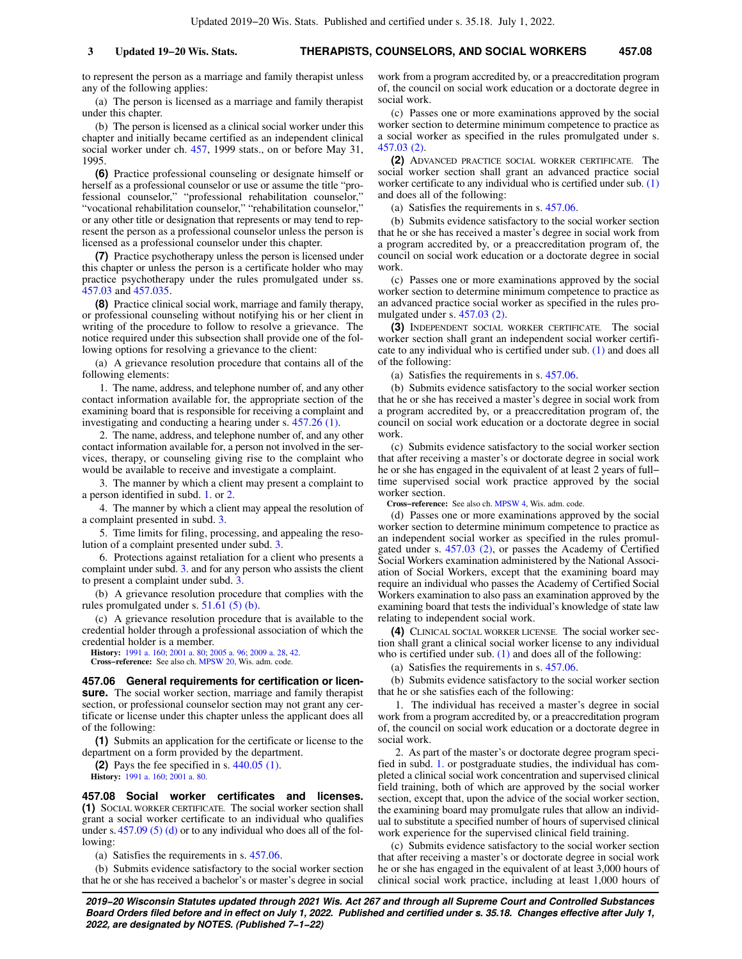to represent the person as a marriage and family therapist unless any of the following applies:

(a) The person is licensed as a marriage and family therapist under this chapter.

(b) The person is licensed as a clinical social worker under this chapter and initially became certified as an independent clinical social worker under ch. [457](https://docs.legis.wisconsin.gov/document/statutes/1999/ch.%20457), 1999 stats., on or before May 31, 1995.

**(6)** Practice professional counseling or designate himself or herself as a professional counselor or use or assume the title "professional counselor," "professional rehabilitation counselor," "vocational rehabilitation counselor," "rehabilitation counselor," or any other title or designation that represents or may tend to represent the person as a professional counselor unless the person is licensed as a professional counselor under this chapter.

**(7)** Practice psychotherapy unless the person is licensed under this chapter or unless the person is a certificate holder who may practice psychotherapy under the rules promulgated under ss. [457.03](https://docs.legis.wisconsin.gov/document/statutes/457.03) and [457.035.](https://docs.legis.wisconsin.gov/document/statutes/457.035)

**(8)** Practice clinical social work, marriage and family therapy, or professional counseling without notifying his or her client in writing of the procedure to follow to resolve a grievance. The notice required under this subsection shall provide one of the following options for resolving a grievance to the client:

(a) A grievance resolution procedure that contains all of the following elements:

1. The name, address, and telephone number of, and any other contact information available for, the appropriate section of the examining board that is responsible for receiving a complaint and investigating and conducting a hearing under s. [457.26 \(1\)](https://docs.legis.wisconsin.gov/document/statutes/457.26(1)).

2. The name, address, and telephone number of, and any other contact information available for, a person not involved in the services, therapy, or counseling giving rise to the complaint who would be available to receive and investigate a complaint.

3. The manner by which a client may present a complaint to a person identified in subd. [1.](https://docs.legis.wisconsin.gov/document/statutes/457.04(8)(a)1.) or [2.](https://docs.legis.wisconsin.gov/document/statutes/457.04(8)(a)2.)

4. The manner by which a client may appeal the resolution of a complaint presented in subd. [3.](https://docs.legis.wisconsin.gov/document/statutes/457.04(8)(a)3.)

5. Time limits for filing, processing, and appealing the resolution of a complaint presented under subd. [3.](https://docs.legis.wisconsin.gov/document/statutes/457.04(8)(a)3.)

6. Protections against retaliation for a client who presents a complaint under subd. [3.](https://docs.legis.wisconsin.gov/document/statutes/457.04(8)(a)3.) and for any person who assists the client to present a complaint under subd. 3

(b) A grievance resolution procedure that complies with the rules promulgated under s. [51.61 \(5\) \(b\).](https://docs.legis.wisconsin.gov/document/statutes/51.61(5)(b))

(c) A grievance resolution procedure that is available to the credential holder through a professional association of which the credential holder is a member.

**History:** [1991 a. 160](https://docs.legis.wisconsin.gov/document/acts/1991/160); [2001 a. 80;](https://docs.legis.wisconsin.gov/document/acts/2001/80) [2005 a. 96;](https://docs.legis.wisconsin.gov/document/acts/2005/96) [2009 a. 28,](https://docs.legis.wisconsin.gov/document/acts/2009/28) [42](https://docs.legis.wisconsin.gov/document/acts/2009/42). **Cross−reference:** See also ch. [MPSW 20](https://docs.legis.wisconsin.gov/document/administrativecode/ch.%20MPSW%2020), Wis. adm. code.

**457.06 General requirements for certification or licensure.** The social worker section, marriage and family therapist section, or professional counselor section may not grant any certificate or license under this chapter unless the applicant does all of the following:

**(1)** Submits an application for the certificate or license to the department on a form provided by the department.

**(2)** Pays the fee specified in s. [440.05 \(1\)](https://docs.legis.wisconsin.gov/document/statutes/440.05(1)). **History:** [1991 a. 160](https://docs.legis.wisconsin.gov/document/acts/1991/160); [2001 a. 80.](https://docs.legis.wisconsin.gov/document/acts/2001/80)

**457.08 Social worker certificates and licenses. (1)** SOCIAL WORKER CERTIFICATE. The social worker section shall grant a social worker certificate to an individual who qualifies under s. [457.09 \(5\) \(d\)](https://docs.legis.wisconsin.gov/document/statutes/457.09(5)(d)) or to any individual who does all of the following:

(a) Satisfies the requirements in s. [457.06](https://docs.legis.wisconsin.gov/document/statutes/457.06).

(b) Submits evidence satisfactory to the social worker section that he or she has received a bachelor's or master's degree in social work from a program accredited by, or a preaccreditation program of, the council on social work education or a doctorate degree in social work.

(c) Passes one or more examinations approved by the social worker section to determine minimum competence to practice as a social worker as specified in the rules promulgated under s. [457.03 \(2\).](https://docs.legis.wisconsin.gov/document/statutes/457.03(2))

**(2)** ADVANCED PRACTICE SOCIAL WORKER CERTIFICATE. The social worker section shall grant an advanced practice social worker certificate to any individual who is certified under sub. [\(1\)](https://docs.legis.wisconsin.gov/document/statutes/457.08(1)) and does all of the following:

(a) Satisfies the requirements in s. [457.06](https://docs.legis.wisconsin.gov/document/statutes/457.06).

(b) Submits evidence satisfactory to the social worker section that he or she has received a master's degree in social work from a program accredited by, or a preaccreditation program of, the council on social work education or a doctorate degree in social work.

(c) Passes one or more examinations approved by the social worker section to determine minimum competence to practice as an advanced practice social worker as specified in the rules promulgated under s. [457.03 \(2\).](https://docs.legis.wisconsin.gov/document/statutes/457.03(2))

**(3)** INDEPENDENT SOCIAL WORKER CERTIFICATE. The social worker section shall grant an independent social worker certificate to any individual who is certified under sub.  $(1)$  and does all of the following:

(a) Satisfies the requirements in s. [457.06](https://docs.legis.wisconsin.gov/document/statutes/457.06).

(b) Submits evidence satisfactory to the social worker section that he or she has received a master's degree in social work from a program accredited by, or a preaccreditation program of, the council on social work education or a doctorate degree in social work.

(c) Submits evidence satisfactory to the social worker section that after receiving a master's or doctorate degree in social work he or she has engaged in the equivalent of at least 2 years of full− time supervised social work practice approved by the social worker section.

**Cross−reference:** See also ch. [MPSW 4](https://docs.legis.wisconsin.gov/document/administrativecode/ch.%20MPSW%204), Wis. adm. code.

(d) Passes one or more examinations approved by the social worker section to determine minimum competence to practice as an independent social worker as specified in the rules promulgated under s. [457.03 \(2\)](https://docs.legis.wisconsin.gov/document/statutes/457.03(2)), or passes the Academy of Certified Social Workers examination administered by the National Association of Social Workers, except that the examining board may require an individual who passes the Academy of Certified Social Workers examination to also pass an examination approved by the examining board that tests the individual's knowledge of state law relating to independent social work.

**(4)** CLINICAL SOCIAL WORKER LICENSE. The social worker section shall grant a clinical social worker license to any individual who is certified under sub.  $(1)$  and does all of the following:

(a) Satisfies the requirements in s. [457.06](https://docs.legis.wisconsin.gov/document/statutes/457.06).

(b) Submits evidence satisfactory to the social worker section that he or she satisfies each of the following:

1. The individual has received a master's degree in social work from a program accredited by, or a preaccreditation program of, the council on social work education or a doctorate degree in social work.

2. As part of the master's or doctorate degree program specified in subd. [1.](https://docs.legis.wisconsin.gov/document/statutes/457.08(4)(b)1.) or postgraduate studies, the individual has completed a clinical social work concentration and supervised clinical field training, both of which are approved by the social worker section, except that, upon the advice of the social worker section, the examining board may promulgate rules that allow an individual to substitute a specified number of hours of supervised clinical work experience for the supervised clinical field training.

(c) Submits evidence satisfactory to the social worker section that after receiving a master's or doctorate degree in social work he or she has engaged in the equivalent of at least 3,000 hours of clinical social work practice, including at least 1,000 hours of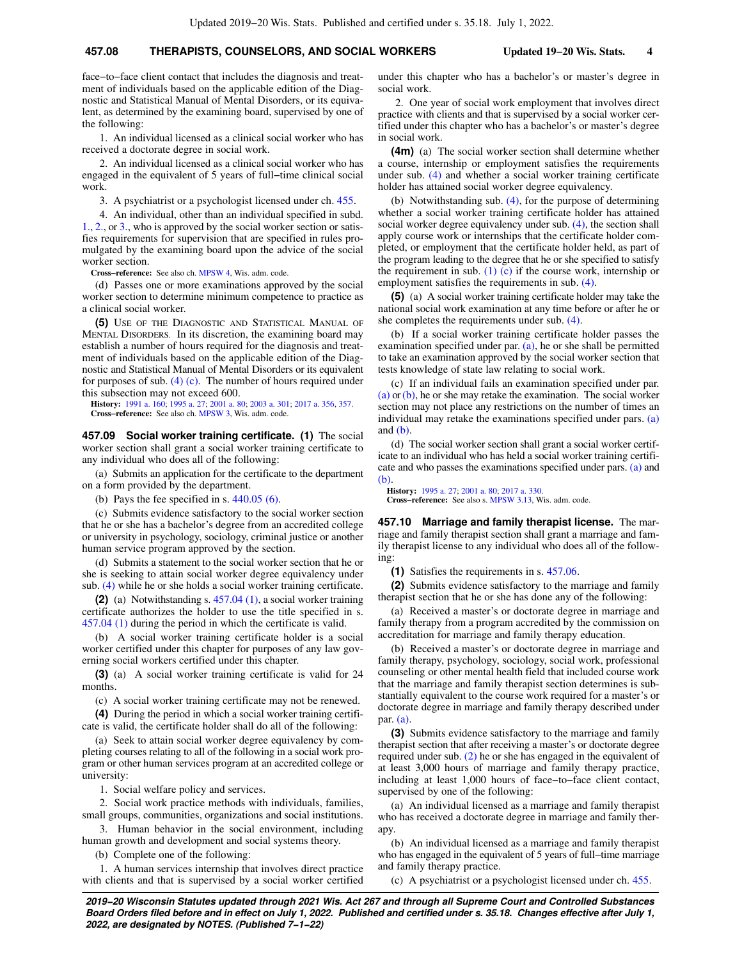## **457.08 THERAPISTS, COUNSELORS, AND SOCIAL WORKERS Updated 19−20 Wis. Stats. 4**

face−to−face client contact that includes the diagnosis and treatment of individuals based on the applicable edition of the Diagnostic and Statistical Manual of Mental Disorders, or its equivalent, as determined by the examining board, supervised by one of the following:

1. An individual licensed as a clinical social worker who has received a doctorate degree in social work.

2. An individual licensed as a clinical social worker who has engaged in the equivalent of 5 years of full−time clinical social work.

3. A psychiatrist or a psychologist licensed under ch. [455.](https://docs.legis.wisconsin.gov/document/statutes/ch.%20455)

4. An individual, other than an individual specified in subd. [1.,](https://docs.legis.wisconsin.gov/document/statutes/457.08(4)(c)1.) [2.](https://docs.legis.wisconsin.gov/document/statutes/457.08(4)(c)2.), or [3.,](https://docs.legis.wisconsin.gov/document/statutes/457.08(4)(c)3.) who is approved by the social worker section or satisfies requirements for supervision that are specified in rules promulgated by the examining board upon the advice of the social worker section.

**Cross−reference:** See also ch. [MPSW 4,](https://docs.legis.wisconsin.gov/document/administrativecode/ch.%20MPSW%204) Wis. adm. code.

(d) Passes one or more examinations approved by the social worker section to determine minimum competence to practice as a clinical social worker.

**(5)** USE OF THE DIAGNOSTIC AND STATISTICAL MANUAL OF MENTAL DISORDERS. In its discretion, the examining board may establish a number of hours required for the diagnosis and treatment of individuals based on the applicable edition of the Diagnostic and Statistical Manual of Mental Disorders or its equivalent for purposes of sub.  $(4)$  (c). The number of hours required under this subsection may not exceed 600.

**History:** [1991 a. 160](https://docs.legis.wisconsin.gov/document/acts/1991/160); [1995 a. 27;](https://docs.legis.wisconsin.gov/document/acts/1995/27) [2001 a. 80;](https://docs.legis.wisconsin.gov/document/acts/2001/80) [2003 a. 301](https://docs.legis.wisconsin.gov/document/acts/2003/301); [2017 a. 356](https://docs.legis.wisconsin.gov/document/acts/2017/356), [357](https://docs.legis.wisconsin.gov/document/acts/2017/357). **Cross−reference:** See also ch. [MPSW 3,](https://docs.legis.wisconsin.gov/document/administrativecode/ch.%20MPSW%203) Wis. adm. code.

**457.09 Social worker training certificate. (1)** The social worker section shall grant a social worker training certificate to any individual who does all of the following:

(a) Submits an application for the certificate to the department on a form provided by the department.

(b) Pays the fee specified in s.  $440.05$  (6).

(c) Submits evidence satisfactory to the social worker section that he or she has a bachelor's degree from an accredited college or university in psychology, sociology, criminal justice or another human service program approved by the section.

(d) Submits a statement to the social worker section that he or she is seeking to attain social worker degree equivalency under sub. [\(4\)](https://docs.legis.wisconsin.gov/document/statutes/457.09(4)) while he or she holds a social worker training certificate.

**(2)** (a) Notwithstanding s. [457.04 \(1\)](https://docs.legis.wisconsin.gov/document/statutes/457.04(1)), a social worker training certificate authorizes the holder to use the title specified in s. [457.04 \(1\)](https://docs.legis.wisconsin.gov/document/statutes/457.04(1)) during the period in which the certificate is valid.

(b) A social worker training certificate holder is a social worker certified under this chapter for purposes of any law governing social workers certified under this chapter.

**(3)** (a) A social worker training certificate is valid for 24 months.

(c) A social worker training certificate may not be renewed.

**(4)** During the period in which a social worker training certificate is valid, the certificate holder shall do all of the following:

(a) Seek to attain social worker degree equivalency by completing courses relating to all of the following in a social work program or other human services program at an accredited college or university:

1. Social welfare policy and services.

2. Social work practice methods with individuals, families, small groups, communities, organizations and social institutions.

3. Human behavior in the social environment, including human growth and development and social systems theory.

(b) Complete one of the following:

1. A human services internship that involves direct practice with clients and that is supervised by a social worker certified under this chapter who has a bachelor's or master's degree in social work.

2. One year of social work employment that involves direct practice with clients and that is supervised by a social worker certified under this chapter who has a bachelor's or master's degree in social work.

**(4m)** (a) The social worker section shall determine whether a course, internship or employment satisfies the requirements under sub. [\(4\)](https://docs.legis.wisconsin.gov/document/statutes/457.09(4)) and whether a social worker training certificate holder has attained social worker degree equivalency.

(b) Notwithstanding sub. [\(4\),](https://docs.legis.wisconsin.gov/document/statutes/457.09(4)) for the purpose of determining whether a social worker training certificate holder has attained social worker degree equivalency under sub. [\(4\)](https://docs.legis.wisconsin.gov/document/statutes/457.09(4)), the section shall apply course work or internships that the certificate holder completed, or employment that the certificate holder held, as part of the program leading to the degree that he or she specified to satisfy the requirement in sub. [\(1\) \(c\)](https://docs.legis.wisconsin.gov/document/statutes/457.09(1)(c)) if the course work, internship or employment satisfies the requirements in sub. [\(4\).](https://docs.legis.wisconsin.gov/document/statutes/457.09(4))

**(5)** (a) A social worker training certificate holder may take the national social work examination at any time before or after he or she completes the requirements under sub. [\(4\).](https://docs.legis.wisconsin.gov/document/statutes/457.09(4))

(b) If a social worker training certificate holder passes the examination specified under par. [\(a\)](https://docs.legis.wisconsin.gov/document/statutes/457.09(5)(a)), he or she shall be permitted to take an examination approved by the social worker section that tests knowledge of state law relating to social work.

(c) If an individual fails an examination specified under par. [\(a\)](https://docs.legis.wisconsin.gov/document/statutes/457.09(5)(a)) or [\(b\),](https://docs.legis.wisconsin.gov/document/statutes/457.09(5)(b)) he or she may retake the examination. The social worker section may not place any restrictions on the number of times an individual may retake the examinations specified under pars. [\(a\)](https://docs.legis.wisconsin.gov/document/statutes/457.09(5)(a)) and  $(b)$ .

(d) The social worker section shall grant a social worker certificate to an individual who has held a social worker training certificate and who passes the examinations specified under pars. [\(a\)](https://docs.legis.wisconsin.gov/document/statutes/457.09(5)(a)) and [\(b\).](https://docs.legis.wisconsin.gov/document/statutes/457.09(5)(b))

**History:** [1995 a. 27](https://docs.legis.wisconsin.gov/document/acts/1995/27); [2001 a. 80](https://docs.legis.wisconsin.gov/document/acts/2001/80); [2017 a. 330.](https://docs.legis.wisconsin.gov/document/acts/2017/330) **Cross−reference:** See also s. [MPSW 3.13,](https://docs.legis.wisconsin.gov/document/administrativecode/MPSW%203.13) Wis. adm. code.

**457.10 Marriage and family therapist license.** The marriage and family therapist section shall grant a marriage and family therapist license to any individual who does all of the following:

**(1)** Satisfies the requirements in s. [457.06](https://docs.legis.wisconsin.gov/document/statutes/457.06).

**(2)** Submits evidence satisfactory to the marriage and family therapist section that he or she has done any of the following:

(a) Received a master's or doctorate degree in marriage and family therapy from a program accredited by the commission on accreditation for marriage and family therapy education.

(b) Received a master's or doctorate degree in marriage and family therapy, psychology, sociology, social work, professional counseling or other mental health field that included course work that the marriage and family therapist section determines is substantially equivalent to the course work required for a master's or doctorate degree in marriage and family therapy described under par. [\(a\).](https://docs.legis.wisconsin.gov/document/statutes/457.10(2)(a))

**(3)** Submits evidence satisfactory to the marriage and family therapist section that after receiving a master's or doctorate degree required under sub. [\(2\)](https://docs.legis.wisconsin.gov/document/statutes/457.10(2)) he or she has engaged in the equivalent of at least 3,000 hours of marriage and family therapy practice, including at least 1,000 hours of face−to−face client contact, supervised by one of the following:

(a) An individual licensed as a marriage and family therapist who has received a doctorate degree in marriage and family therapy.

(b) An individual licensed as a marriage and family therapist who has engaged in the equivalent of 5 years of full−time marriage and family therapy practice.

(c) A psychiatrist or a psychologist licensed under ch. [455.](https://docs.legis.wisconsin.gov/document/statutes/ch.%20455)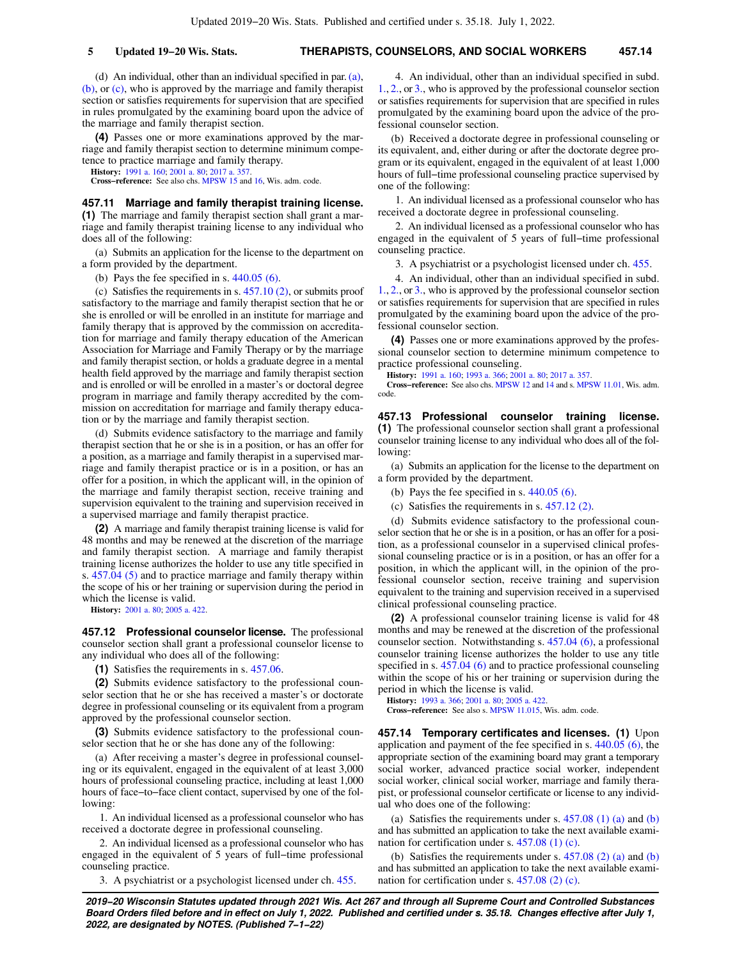(d) An individual, other than an individual specified in par.[\(a\),](https://docs.legis.wisconsin.gov/document/statutes/457.10(3)(a)) [\(b\)](https://docs.legis.wisconsin.gov/document/statutes/457.10(3)(b)), or [\(c\),](https://docs.legis.wisconsin.gov/document/statutes/457.10(3)(c)) who is approved by the marriage and family therapist section or satisfies requirements for supervision that are specified in rules promulgated by the examining board upon the advice of the marriage and family therapist section.

**(4)** Passes one or more examinations approved by the marriage and family therapist section to determine minimum competence to practice marriage and family therapy.

**History:** [1991 a. 160](https://docs.legis.wisconsin.gov/document/acts/1991/160); [2001 a. 80;](https://docs.legis.wisconsin.gov/document/acts/2001/80) [2017 a. 357](https://docs.legis.wisconsin.gov/document/acts/2017/357).

**Cross−reference:** See also chs. [MPSW 15](https://docs.legis.wisconsin.gov/document/administrativecode/ch.%20MPSW%2015) and [16,](https://docs.legis.wisconsin.gov/document/administrativecode/ch.%20MPSW%2016) Wis. adm. code.

**457.11 Marriage and family therapist training license. (1)** The marriage and family therapist section shall grant a marriage and family therapist training license to any individual who does all of the following:

(a) Submits an application for the license to the department on a form provided by the department.

(b) Pays the fee specified in s. [440.05 \(6\).](https://docs.legis.wisconsin.gov/document/statutes/440.05(6))

(c) Satisfies the requirements in s. [457.10 \(2\),](https://docs.legis.wisconsin.gov/document/statutes/457.10(2)) or submits proof satisfactory to the marriage and family therapist section that he or she is enrolled or will be enrolled in an institute for marriage and family therapy that is approved by the commission on accreditation for marriage and family therapy education of the American Association for Marriage and Family Therapy or by the marriage and family therapist section, or holds a graduate degree in a mental health field approved by the marriage and family therapist section and is enrolled or will be enrolled in a master's or doctoral degree program in marriage and family therapy accredited by the commission on accreditation for marriage and family therapy education or by the marriage and family therapist section.

(d) Submits evidence satisfactory to the marriage and family therapist section that he or she is in a position, or has an offer for a position, as a marriage and family therapist in a supervised marriage and family therapist practice or is in a position, or has an offer for a position, in which the applicant will, in the opinion of the marriage and family therapist section, receive training and supervision equivalent to the training and supervision received in a supervised marriage and family therapist practice.

**(2)** A marriage and family therapist training license is valid for 48 months and may be renewed at the discretion of the marriage and family therapist section. A marriage and family therapist training license authorizes the holder to use any title specified in s. [457.04 \(5\)](https://docs.legis.wisconsin.gov/document/statutes/457.04(5)) and to practice marriage and family therapy within the scope of his or her training or supervision during the period in which the license is valid.

**History:** [2001 a. 80;](https://docs.legis.wisconsin.gov/document/acts/2001/80) [2005 a. 422.](https://docs.legis.wisconsin.gov/document/acts/2005/422)

**457.12 Professional counselor license.** The professional counselor section shall grant a professional counselor license to any individual who does all of the following:

**(1)** Satisfies the requirements in s. [457.06](https://docs.legis.wisconsin.gov/document/statutes/457.06).

**(2)** Submits evidence satisfactory to the professional counselor section that he or she has received a master's or doctorate degree in professional counseling or its equivalent from a program approved by the professional counselor section.

**(3)** Submits evidence satisfactory to the professional counselor section that he or she has done any of the following:

(a) After receiving a master's degree in professional counseling or its equivalent, engaged in the equivalent of at least 3,000 hours of professional counseling practice, including at least 1,000 hours of face−to−face client contact, supervised by one of the following:

1. An individual licensed as a professional counselor who has received a doctorate degree in professional counseling.

2. An individual licensed as a professional counselor who has engaged in the equivalent of 5 years of full−time professional counseling practice.

3. A psychiatrist or a psychologist licensed under ch. [455.](https://docs.legis.wisconsin.gov/document/statutes/ch.%20455)

4. An individual, other than an individual specified in subd. [1.,](https://docs.legis.wisconsin.gov/document/statutes/457.12(3)(a)1.) [2.](https://docs.legis.wisconsin.gov/document/statutes/457.12(3)(a)2.), or [3.](https://docs.legis.wisconsin.gov/document/statutes/457.12(3)(a)3.), who is approved by the professional counselor section or satisfies requirements for supervision that are specified in rules promulgated by the examining board upon the advice of the professional counselor section.

(b) Received a doctorate degree in professional counseling or its equivalent, and, either during or after the doctorate degree program or its equivalent, engaged in the equivalent of at least 1,000 hours of full−time professional counseling practice supervised by one of the following:

1. An individual licensed as a professional counselor who has received a doctorate degree in professional counseling.

2. An individual licensed as a professional counselor who has engaged in the equivalent of 5 years of full−time professional counseling practice.

3. A psychiatrist or a psychologist licensed under ch. [455](https://docs.legis.wisconsin.gov/document/statutes/ch.%20455).

4. An individual, other than an individual specified in subd. [1.,](https://docs.legis.wisconsin.gov/document/statutes/457.12(3)(b)1.) [2.](https://docs.legis.wisconsin.gov/document/statutes/457.12(3)(b)2.), or [3.](https://docs.legis.wisconsin.gov/document/statutes/457.12(3)(b)3.), who is approved by the professional counselor section or satisfies requirements for supervision that are specified in rules promulgated by the examining board upon the advice of the professional counselor section.

**(4)** Passes one or more examinations approved by the professional counselor section to determine minimum competence to practice professional counseling.

**History:** [1991 a. 160;](https://docs.legis.wisconsin.gov/document/acts/1991/160) [1993 a. 366](https://docs.legis.wisconsin.gov/document/acts/1993/366); [2001 a. 80](https://docs.legis.wisconsin.gov/document/acts/2001/80); [2017 a. 357](https://docs.legis.wisconsin.gov/document/acts/2017/357).

**Cross−reference:** See also chs. [MPSW 12](https://docs.legis.wisconsin.gov/document/administrativecode/ch.%20MPSW%2012) and [14](https://docs.legis.wisconsin.gov/document/administrativecode/ch.%20MPSW%2014) and s. [MPSW 11.01](https://docs.legis.wisconsin.gov/document/administrativecode/MPSW%2011.01), Wis. adm. code.

**457.13 Professional counselor training license. (1)** The professional counselor section shall grant a professional counselor training license to any individual who does all of the following:

(a) Submits an application for the license to the department on a form provided by the department.

- (b) Pays the fee specified in s.  $440.05$  (6).
- (c) Satisfies the requirements in s. [457.12 \(2\)](https://docs.legis.wisconsin.gov/document/statutes/457.12(2)).

(d) Submits evidence satisfactory to the professional counselor section that he or she is in a position, or has an offer for a position, as a professional counselor in a supervised clinical professional counseling practice or is in a position, or has an offer for a position, in which the applicant will, in the opinion of the professional counselor section, receive training and supervision equivalent to the training and supervision received in a supervised clinical professional counseling practice.

**(2)** A professional counselor training license is valid for 48 months and may be renewed at the discretion of the professional counselor section. Notwithstanding s. [457.04 \(6\)](https://docs.legis.wisconsin.gov/document/statutes/457.04(6)), a professional counselor training license authorizes the holder to use any title specified in s. [457.04 \(6\)](https://docs.legis.wisconsin.gov/document/statutes/457.04(6)) and to practice professional counseling within the scope of his or her training or supervision during the period in which the license is valid.

**History:** [1993 a. 366;](https://docs.legis.wisconsin.gov/document/acts/1993/366) [2001 a. 80;](https://docs.legis.wisconsin.gov/document/acts/2001/80) [2005 a. 422](https://docs.legis.wisconsin.gov/document/acts/2005/422).

**Cross−reference:** See also s. [MPSW 11.015,](https://docs.legis.wisconsin.gov/document/administrativecode/MPSW%2011.015) Wis. adm. code.

**457.14 Temporary certificates and licenses. (1)** Upon application and payment of the fee specified in s. [440.05 \(6\),](https://docs.legis.wisconsin.gov/document/statutes/440.05(6)) the appropriate section of the examining board may grant a temporary social worker, advanced practice social worker, independent social worker, clinical social worker, marriage and family therapist, or professional counselor certificate or license to any individual who does one of the following:

(a) Satisfies the requirements under s.  $457.08$  (1) (a) and [\(b\)](https://docs.legis.wisconsin.gov/document/statutes/457.08(1)(b)) and has submitted an application to take the next available examination for certification under s. [457.08 \(1\) \(c\).](https://docs.legis.wisconsin.gov/document/statutes/457.08(1)(c))

[\(b\)](https://docs.legis.wisconsin.gov/document/statutes/457.08(2)(b)) Satisfies the requirements under s.  $457.08$  (2) (a) and (b) and has submitted an application to take the next available examination for certification under s. [457.08 \(2\) \(c\).](https://docs.legis.wisconsin.gov/document/statutes/457.08(2)(c))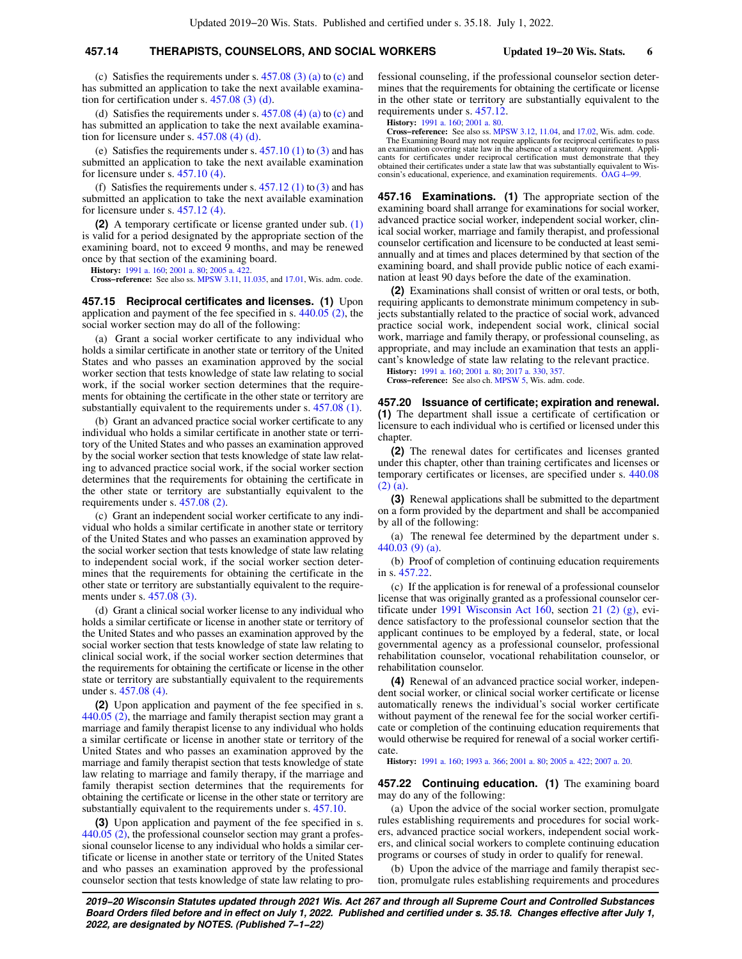## **457.14 THERAPISTS, COUNSELORS, AND SOCIAL WORKERS Updated 19−20 Wis. Stats. 6**

(c) Satisfies the requirements under s.  $457.08$  (3) (a) to [\(c\)](https://docs.legis.wisconsin.gov/document/statutes/457.08(3)(c)) and has submitted an application to take the next available examination for certification under s. [457.08 \(3\) \(d\)](https://docs.legis.wisconsin.gov/document/statutes/457.08(3)(d)).

(d) Satisfies the requirements under s.  $457.08$  (4) (a) to [\(c\)](https://docs.legis.wisconsin.gov/document/statutes/457.08(4)(c)) and has submitted an application to take the next available examination for licensure under s. [457.08 \(4\) \(d\)](https://docs.legis.wisconsin.gov/document/statutes/457.08(4)(d)).

(e) Satisfies the requirements under s.  $457.10(1)$  to  $(3)$  and has submitted an application to take the next available examination for licensure under s. [457.10 \(4\)](https://docs.legis.wisconsin.gov/document/statutes/457.10(4)).

(f) Satisfies the requirements under s.  $457.12$  (1) to [\(3\)](https://docs.legis.wisconsin.gov/document/statutes/457.12(3)) and has submitted an application to take the next available examination for licensure under s. [457.12 \(4\)](https://docs.legis.wisconsin.gov/document/statutes/457.12(4)).

**(2)** A temporary certificate or license granted under sub. [\(1\)](https://docs.legis.wisconsin.gov/document/statutes/457.14(1)) is valid for a period designated by the appropriate section of the examining board, not to exceed 9 months, and may be renewed once by that section of the examining board.

**History:** [1991 a. 160](https://docs.legis.wisconsin.gov/document/acts/1991/160); [2001 a. 80;](https://docs.legis.wisconsin.gov/document/acts/2001/80) [2005 a. 422](https://docs.legis.wisconsin.gov/document/acts/2005/422).

**Cross−reference:** See also ss. [MPSW 3.11](https://docs.legis.wisconsin.gov/document/administrativecode/MPSW%203.11), [11.035,](https://docs.legis.wisconsin.gov/document/administrativecode/MPSW%2011.035) and [17.01,](https://docs.legis.wisconsin.gov/document/administrativecode/MPSW%2017.01) Wis. adm. code.

**457.15 Reciprocal certificates and licenses. (1)** Upon application and payment of the fee specified in s. [440.05 \(2\),](https://docs.legis.wisconsin.gov/document/statutes/440.05(2)) the social worker section may do all of the following:

(a) Grant a social worker certificate to any individual who holds a similar certificate in another state or territory of the United States and who passes an examination approved by the social worker section that tests knowledge of state law relating to social work, if the social worker section determines that the requirements for obtaining the certificate in the other state or territory are substantially equivalent to the requirements under s. [457.08 \(1\).](https://docs.legis.wisconsin.gov/document/statutes/457.08(1))

(b) Grant an advanced practice social worker certificate to any individual who holds a similar certificate in another state or territory of the United States and who passes an examination approved by the social worker section that tests knowledge of state law relating to advanced practice social work, if the social worker section determines that the requirements for obtaining the certificate in the other state or territory are substantially equivalent to the requirements under s. [457.08 \(2\).](https://docs.legis.wisconsin.gov/document/statutes/457.08(2))

(c) Grant an independent social worker certificate to any individual who holds a similar certificate in another state or territory of the United States and who passes an examination approved by the social worker section that tests knowledge of state law relating to independent social work, if the social worker section determines that the requirements for obtaining the certificate in the other state or territory are substantially equivalent to the requirements under s. [457.08 \(3\)](https://docs.legis.wisconsin.gov/document/statutes/457.08(3)).

(d) Grant a clinical social worker license to any individual who holds a similar certificate or license in another state or territory of the United States and who passes an examination approved by the social worker section that tests knowledge of state law relating to clinical social work, if the social worker section determines that the requirements for obtaining the certificate or license in the other state or territory are substantially equivalent to the requirements under s. [457.08 \(4\)](https://docs.legis.wisconsin.gov/document/statutes/457.08(4)).

**(2)** Upon application and payment of the fee specified in s. [440.05 \(2\)](https://docs.legis.wisconsin.gov/document/statutes/440.05(2)), the marriage and family therapist section may grant a marriage and family therapist license to any individual who holds a similar certificate or license in another state or territory of the United States and who passes an examination approved by the marriage and family therapist section that tests knowledge of state law relating to marriage and family therapy, if the marriage and family therapist section determines that the requirements for obtaining the certificate or license in the other state or territory are substantially equivalent to the requirements under s. [457.10.](https://docs.legis.wisconsin.gov/document/statutes/457.10)

**(3)** Upon application and payment of the fee specified in s. [440.05 \(2\),](https://docs.legis.wisconsin.gov/document/statutes/440.05(2)) the professional counselor section may grant a professional counselor license to any individual who holds a similar certificate or license in another state or territory of the United States and who passes an examination approved by the professional counselor section that tests knowledge of state law relating to professional counseling, if the professional counselor section determines that the requirements for obtaining the certificate or license in the other state or territory are substantially equivalent to the requirements under s. [457.12](https://docs.legis.wisconsin.gov/document/statutes/457.12).

**History:** [1991 a. 160;](https://docs.legis.wisconsin.gov/document/acts/1991/160) [2001 a. 80.](https://docs.legis.wisconsin.gov/document/acts/2001/80)

**Cross−reference:** See also ss. [MPSW 3.12,](https://docs.legis.wisconsin.gov/document/administrativecode/MPSW%203.12) [11.04,](https://docs.legis.wisconsin.gov/document/administrativecode/MPSW%2011.04) and [17.02,](https://docs.legis.wisconsin.gov/document/administrativecode/MPSW%2017.02) Wis. adm. code. The Examining Board may not require applicants for reciprocal certificates to pass an examination covering state law in the absence of a statutory requirement. Applicants for certificates under reciprocal certification must demonstrate that they obtained their certificates under a state law that was substantially equivalent to Wisconsin's educational, experience, and examination requirements. [OAG 4−99.](https://docs.legis.wisconsin.gov/document/oag/oag4-99)

**457.16 Examinations. (1)** The appropriate section of the examining board shall arrange for examinations for social worker, advanced practice social worker, independent social worker, clinical social worker, marriage and family therapist, and professional counselor certification and licensure to be conducted at least semiannually and at times and places determined by that section of the examining board, and shall provide public notice of each examination at least 90 days before the date of the examination.

**(2)** Examinations shall consist of written or oral tests, or both, requiring applicants to demonstrate minimum competency in subjects substantially related to the practice of social work, advanced practice social work, independent social work, clinical social work, marriage and family therapy, or professional counseling, as appropriate, and may include an examination that tests an applicant's knowledge of state law relating to the relevant practice.

**History:** [1991 a. 160;](https://docs.legis.wisconsin.gov/document/acts/1991/160) [2001 a. 80;](https://docs.legis.wisconsin.gov/document/acts/2001/80) [2017 a. 330](https://docs.legis.wisconsin.gov/document/acts/2017/330), [357](https://docs.legis.wisconsin.gov/document/acts/2017/357).

**Cross−reference:** See also ch. [MPSW 5](https://docs.legis.wisconsin.gov/document/administrativecode/ch.%20MPSW%205), Wis. adm. code.

**457.20 Issuance of certificate; expiration and renewal. (1)** The department shall issue a certificate of certification or licensure to each individual who is certified or licensed under this chapter.

**(2)** The renewal dates for certificates and licenses granted under this chapter, other than training certificates and licenses or temporary certificates or licenses, are specified under s. [440.08](https://docs.legis.wisconsin.gov/document/statutes/440.08(2)(a)) [\(2\) \(a\).](https://docs.legis.wisconsin.gov/document/statutes/440.08(2)(a))

**(3)** Renewal applications shall be submitted to the department on a form provided by the department and shall be accompanied by all of the following:

(a) The renewal fee determined by the department under s. [440.03 \(9\) \(a\)](https://docs.legis.wisconsin.gov/document/statutes/440.03(9)(a)).

(b) Proof of completion of continuing education requirements in s. [457.22](https://docs.legis.wisconsin.gov/document/statutes/457.22).

(c) If the application is for renewal of a professional counselor license that was originally granted as a professional counselor certificate under [1991 Wisconsin Act 160](https://docs.legis.wisconsin.gov/document/acts/1991/160), section [21 \(2\) \(g\),](https://docs.legis.wisconsin.gov/document/acts/1991/160,%20s.%2021) evidence satisfactory to the professional counselor section that the applicant continues to be employed by a federal, state, or local governmental agency as a professional counselor, professional rehabilitation counselor, vocational rehabilitation counselor, or rehabilitation counselor.

**(4)** Renewal of an advanced practice social worker, independent social worker, or clinical social worker certificate or license automatically renews the individual's social worker certificate without payment of the renewal fee for the social worker certificate or completion of the continuing education requirements that would otherwise be required for renewal of a social worker certificate.

**History:** [1991 a. 160;](https://docs.legis.wisconsin.gov/document/acts/1991/160) [1993 a. 366](https://docs.legis.wisconsin.gov/document/acts/1993/366); [2001 a. 80](https://docs.legis.wisconsin.gov/document/acts/2001/80); [2005 a. 422](https://docs.legis.wisconsin.gov/document/acts/2005/422); [2007 a. 20](https://docs.legis.wisconsin.gov/document/acts/2007/20).

**457.22 Continuing education. (1)** The examining board may do any of the following:

(a) Upon the advice of the social worker section, promulgate rules establishing requirements and procedures for social workers, advanced practice social workers, independent social workers, and clinical social workers to complete continuing education programs or courses of study in order to qualify for renewal.

(b) Upon the advice of the marriage and family therapist section, promulgate rules establishing requirements and procedures